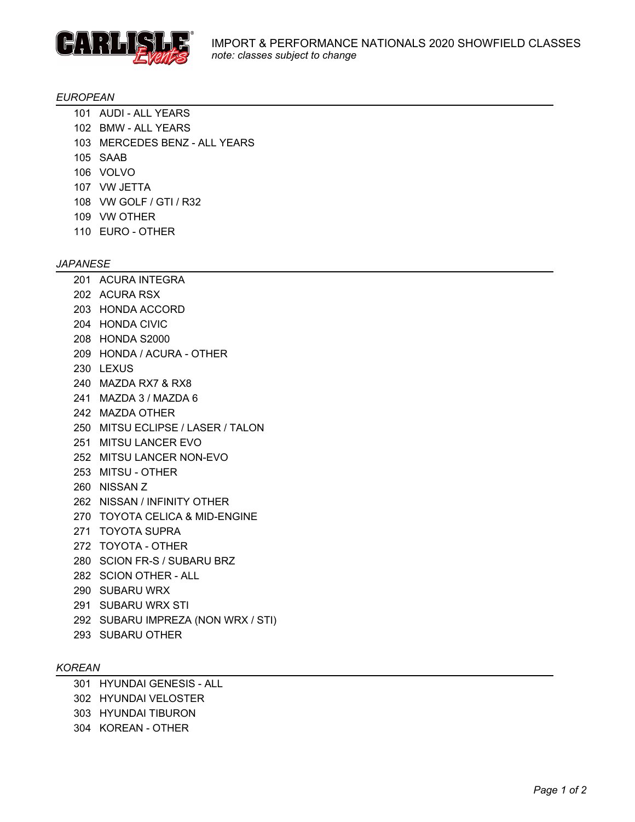

### *EUROPEAN*

- 101 AUDI ALL YEARS
- 102 BMW ALL YEARS
- 103 MERCEDES BENZ ALL YEARS
- 105 SAAB
- 106 VOLVO
- 107 VW JETTA
- 108 VW GOLF / GTI / R32
- 109 VW OTHER
- 110 EURO OTHER

## *JAPANESE*

201 ACURA INTEGRA 202 ACURA RSX 203 HONDA ACCORD 204 HONDA CIVIC 208 HONDA S2000 209 HONDA / ACURA - OTHER 230 LEXUS 240 MAZDA RX7 & RX8 241 MAZDA 3 / MAZDA 6 242 MAZDA OTHER 250 MITSU ECLIPSE / LASER / TALON 251 MITSU LANCER EVO 252 MITSU LANCER NON-EVO 253 MITSU - OTHER 260 NISSAN Z 262 NISSAN / INFINITY OTHER 270 TOYOTA CELICA & MID-ENGINE 271 TOYOTA SUPRA 272 TOYOTA - OTHER 280 SCION FR-S / SUBARU BRZ 282 SCION OTHER - ALL 290 SUBARU WRX 291 SUBARU WRX STI 292 SUBARU IMPREZA (NON WRX / STI) 293 SUBARU OTHER

### *KOREAN*

301 HYUNDAI GENESIS - ALL 302 HYUNDAI VELOSTER 303 HYUNDAI TIBURON 304 KOREAN - OTHER